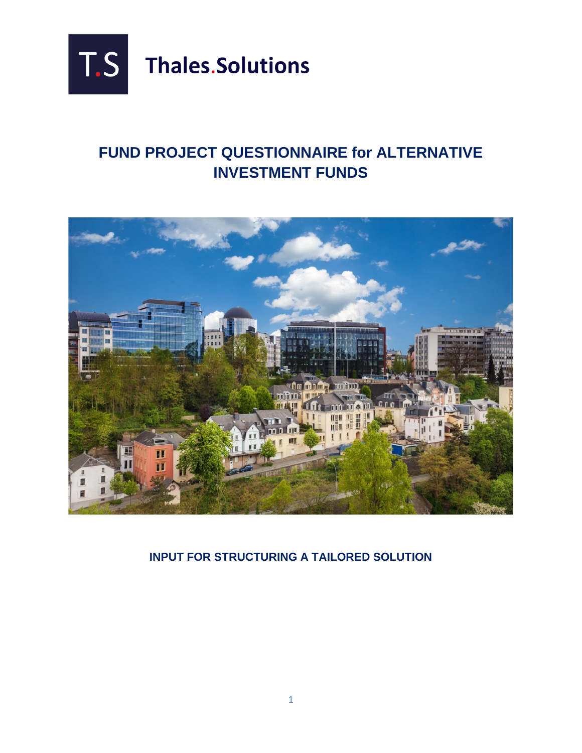

## **FUND PROJECT QUESTIONNAIRE for ALTERNATIVE INVESTMENT FUNDS**



**INPUT FOR STRUCTURING A TAILORED SOLUTION**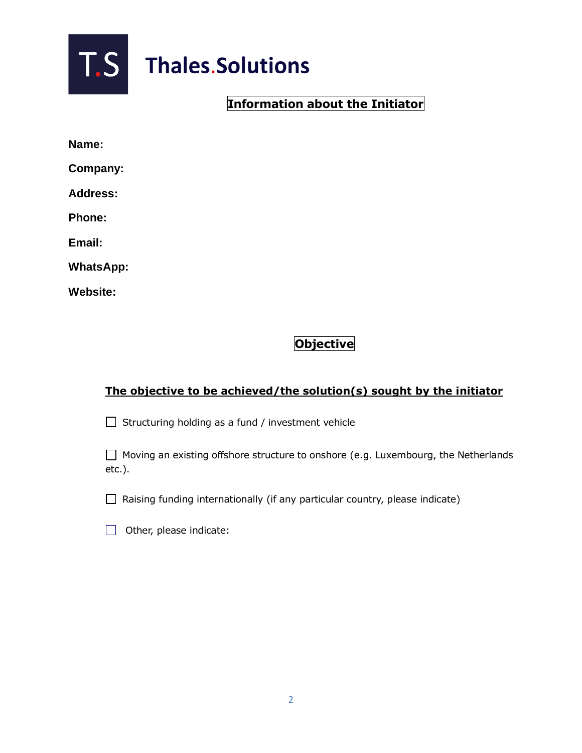

# **T.S** Thales.Solutions

## **Information about the Initiator**

| lam |  |
|-----|--|
|-----|--|

**Company:**

**Address:**

**Phone:**

**Email:**

**WhatsApp:**

**Website:**

## **Objective**

### **The objective to be achieved/the solution(s) sought by the initiator**

 $\Box$  Structuring holding as a fund / investment vehicle

 $\Box$  Moving an existing offshore structure to onshore (e.g. Luxembourg, the Netherlands etc.).

 $\Box$  Raising funding internationally (if any particular country, please indicate)

 $\Box$  Other, please indicate: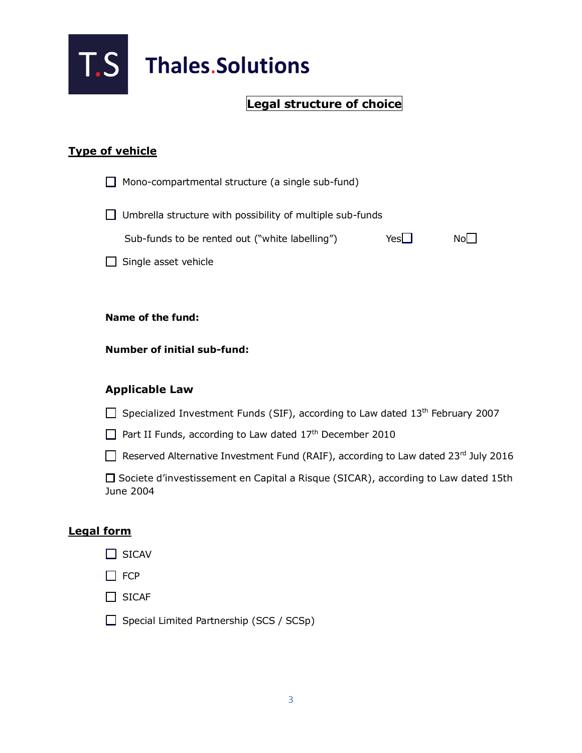

## **Legal structure of choice**

## **Type of vehicle**

|                   | Mono-compartmental structure (a single sub-fund)                                                 |     |    |
|-------------------|--------------------------------------------------------------------------------------------------|-----|----|
|                   | Umbrella structure with possibility of multiple sub-funds                                        |     |    |
|                   | Sub-funds to be rented out ("white labelling")                                                   | Yes | No |
|                   | Single asset vehicle                                                                             |     |    |
|                   |                                                                                                  |     |    |
|                   | Name of the fund:                                                                                |     |    |
|                   | <b>Number of initial sub-fund:</b>                                                               |     |    |
|                   | <b>Applicable Law</b>                                                                            |     |    |
|                   | Specialized Investment Funds (SIF), according to Law dated 13 <sup>th</sup> February 2007        |     |    |
|                   | Part II Funds, according to Law dated 17 <sup>th</sup> December 2010                             |     |    |
|                   | Reserved Alternative Investment Fund (RAIF), according to Law dated 23rd July 2016               |     |    |
|                   | □ Societe d'investissement en Capital a Risque (SICAR), according to Law dated 15th<br>June 2004 |     |    |
| <b>Legal form</b> |                                                                                                  |     |    |

- $\Box$  SICAV
- $\Box$  FCP
- □ SICAF
- $\Box$  Special Limited Partnership (SCS / SCSp)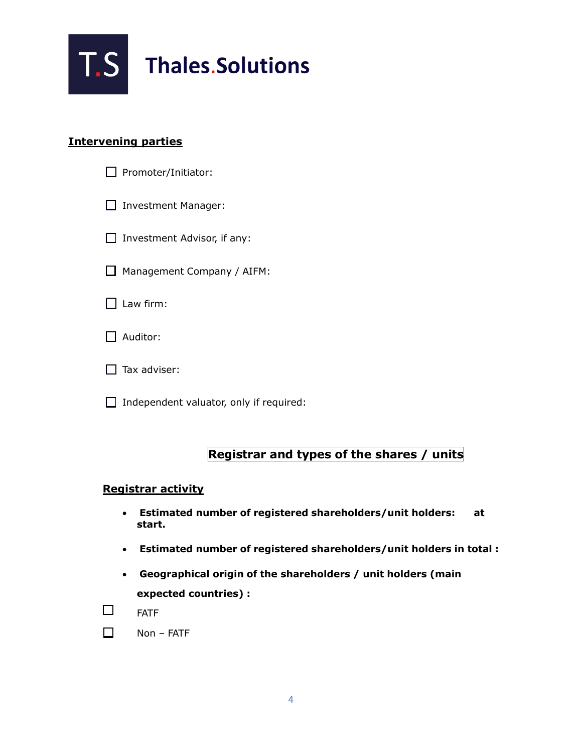

#### **Intervening parties**

| Promoter/Initiator: |
|---------------------|
|---------------------|

**Investment Manager:** 

 $\Box$  Investment Advisor, if any:

Management Company / AIFM:

 $\Box$  Law firm:

| Auditor: |
|----------|
|----------|

 $\Box$  Tax adviser:

 $\Box$  Independent valuator, only if required:

## **Registrar and types of the shares / units**

#### **Registrar activity**

- **Estimated number of registered shareholders/unit holders: at start.**
- **Estimated number of registered shareholders/unit holders in total :**
- **Geographical origin of the shareholders / unit holders (main expected countries) :**



| Non – FATF |  |
|------------|--|
|            |  |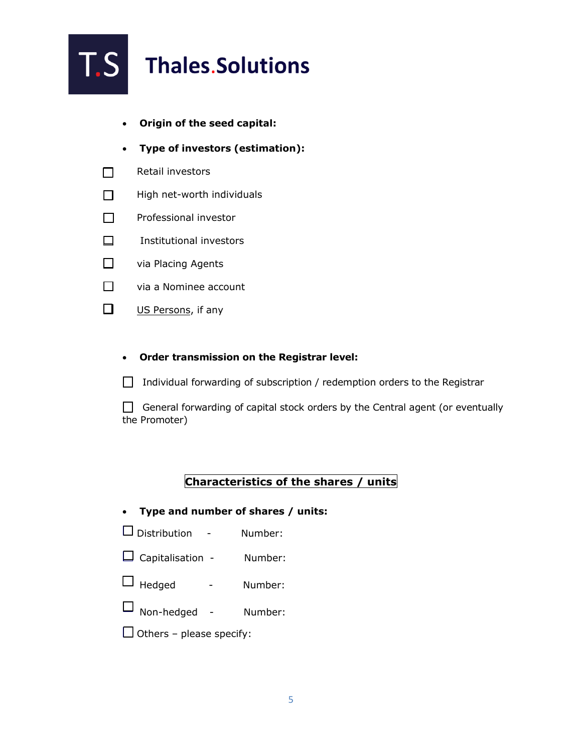

- **Origin of the seed capital:**
- **Type of investors (estimation):**
- $\Box$ Retail investors
- $\Box$ High net-worth individuals
- Professional investor  $\Box$
- $\Box$ Institutional investors
- $\Box$ via Placing Agents
- $\Box$ via a Nominee account
- $\Box$ US Persons, if any
	- **Order transmission on the Registrar level:**
	- $\Box$  Individual forwarding of subscription / redemption orders to the Registrar

 $\Box$  General forwarding of capital stock orders by the Central agent (or eventually the Promoter)

#### **Characteristics of the shares / units**

- **Type and number of shares / units:**
- Distribution Number:
- Capitalisation Number:
- $\Box$  Hedged Number:
- Non-hedged Number:
- $\Box$  Others please specify: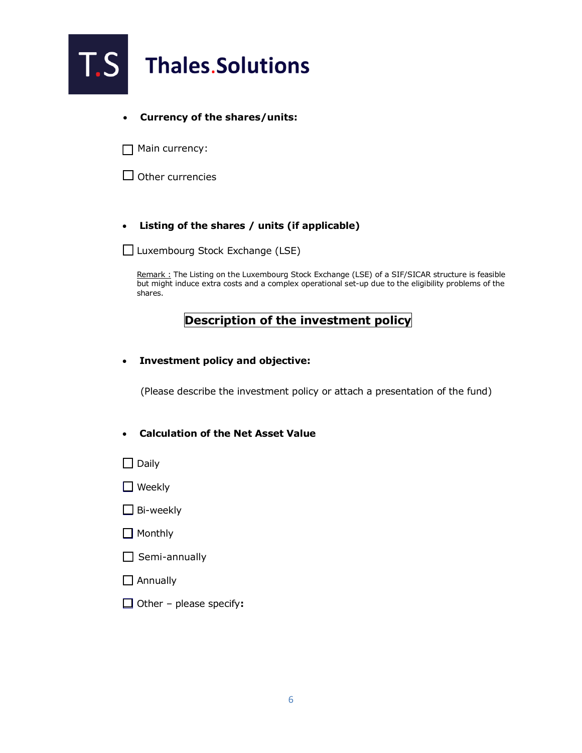

#### • **Currency of the shares/units:**

 $\Box$  Main currency:

 $\Box$  Other currencies

#### • **Listing of the shares / units (if applicable)**

 $\Box$  Luxembourg Stock Exchange (LSE)

Remark : The Listing on the Luxembourg Stock Exchange (LSE) of a SIF/SICAR structure is feasible but might induce extra costs and a complex operational set-up due to the eligibility problems of the shares.

#### **Description of the investment policy**

• **Investment policy and objective:**

(Please describe the investment policy or attach a presentation of the fund)

- **Calculation of the Net Asset Value**
- $\Box$  Daily
- $\Box$  Weekly
- $\Box$  Bi-weekly
- $\Box$  Monthly
- $\Box$  Semi-annually
- $\Box$  Annually
- Other please specify**:**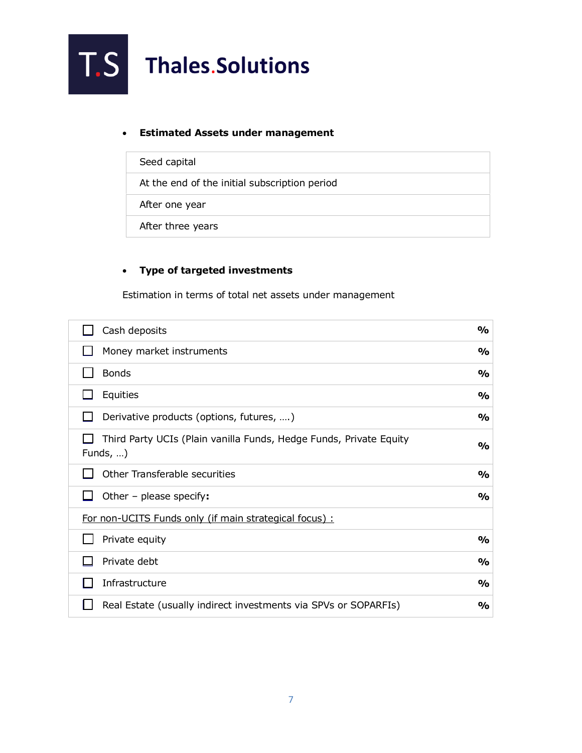#### • **Estimated Assets under management**

| Seed capital                                  |
|-----------------------------------------------|
| At the end of the initial subscription period |
| After one year                                |
| After three years                             |

#### • **Type of targeted investments**

Estimation in terms of total net assets under management

| Cash deposits                                                                          | $\frac{1}{2}$ |
|----------------------------------------------------------------------------------------|---------------|
| Money market instruments                                                               | $\frac{1}{2}$ |
| <b>Bonds</b>                                                                           | $\frac{1}{2}$ |
| Equities                                                                               | $\frac{1}{2}$ |
| Derivative products (options, futures, )                                               | $\frac{1}{2}$ |
| Third Party UCIs (Plain vanilla Funds, Hedge Funds, Private Equity<br>Funds, $\dots$ ) | %             |
| Other Transferable securities                                                          | $\frac{1}{2}$ |
| Other - please specify:                                                                | %             |
| For non-UCITS Funds only (if main strategical focus) :                                 |               |
| Private equity                                                                         | $\frac{1}{2}$ |
| Private debt                                                                           | %             |
| Infrastructure                                                                         | %             |
| Real Estate (usually indirect investments via SPVs or SOPARFIs)                        | %             |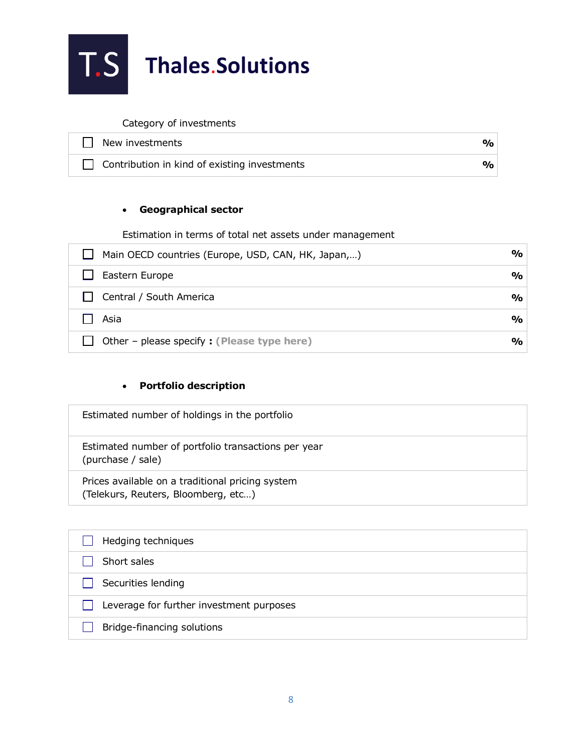

Category of investments

| New investments                                     | $\mathbf{O}_\mathbf{O}$ |
|-----------------------------------------------------|-------------------------|
| $\Box$ Contribution in kind of existing investments | $\mathbf{O}_\mathbf{O}$ |

#### • **Geographical sector**

Estimation in terms of total net assets under management

| Main OECD countries (Europe, USD, CAN, HK, Japan,) | $\frac{9}{0}$         |
|----------------------------------------------------|-----------------------|
| Eastern Europe                                     | $\frac{9}{6}$         |
| Central / South America                            | $\frac{9}{0}$         |
| Asia                                               | $\frac{9}{6}$         |
| Other - please specify : (Please type here)        | $\gamma$ <sub>o</sub> |

#### • **Portfolio description**

| Estimated number of holdings in the portfolio                                           |
|-----------------------------------------------------------------------------------------|
| Estimated number of portfolio transactions per year<br>(purchase / sale)                |
| Prices available on a traditional pricing system<br>(Telekurs, Reuters, Bloomberg, etc) |

| Hedging techniques                       |
|------------------------------------------|
| Short sales                              |
| Securities lending                       |
| Leverage for further investment purposes |
| Bridge-financing solutions               |